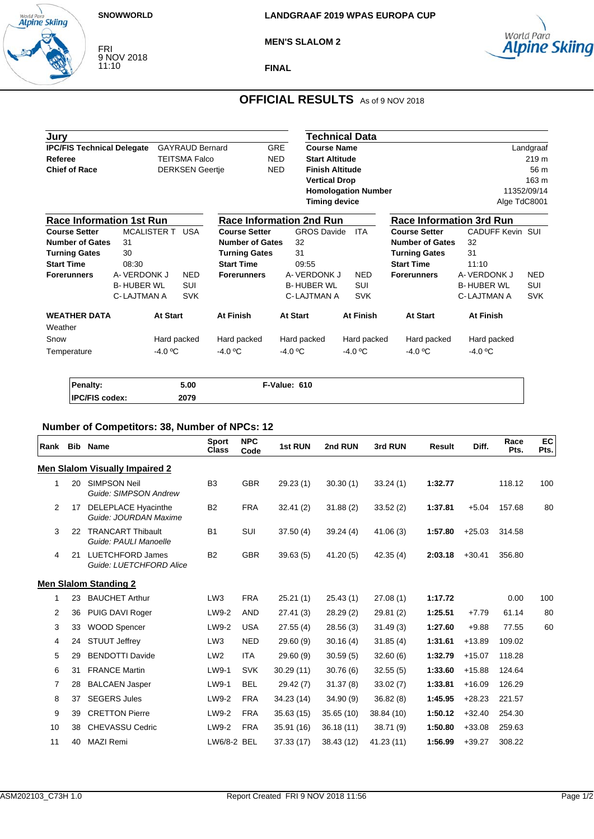### **SNOWWORLD**

World Para<br>**Alpine Skiing** 

FRI 9 NOV 2018 11:10

**MEN'S SLALOM 2**



# **OFFICIAL RESULTS** As of 9 NOV 2018

| Jury                                                        |                    |             |                        |                                 |                    |                        | Technical Data             |                                 |                         |             |
|-------------------------------------------------------------|--------------------|-------------|------------------------|---------------------------------|--------------------|------------------------|----------------------------|---------------------------------|-------------------------|-------------|
| <b>IPC/FIS Technical Delegate</b><br><b>GAYRAUD Bernard</b> |                    |             |                        | <b>GRE</b>                      | <b>Course Name</b> |                        |                            |                                 | Landgraaf               |             |
| Referee                                                     |                    |             | <b>TEITSMA Falco</b>   |                                 | <b>NED</b>         | <b>Start Altitude</b>  |                            |                                 |                         | 219 m       |
| <b>Chief of Race</b>                                        |                    |             | <b>DERKSEN Geertje</b> |                                 | <b>NED</b>         | <b>Finish Altitude</b> |                            |                                 |                         | 56 m        |
|                                                             |                    |             |                        |                                 |                    | <b>Vertical Drop</b>   |                            |                                 |                         | 163 m       |
|                                                             |                    |             |                        |                                 |                    |                        | <b>Homologation Number</b> |                                 |                         | 11352/09/14 |
|                                                             |                    |             |                        |                                 |                    | <b>Timing device</b>   |                            |                                 | Alge TdC8001            |             |
| <b>Race Information 1st Run</b>                             |                    |             |                        | <b>Race Information 2nd Run</b> |                    |                        |                            | <b>Race Information 3rd Run</b> |                         |             |
| <b>Course Setter</b>                                        | <b>MCALISTER T</b> |             | USA                    | <b>Course Setter</b>            |                    | <b>GROS Davide</b>     | <b>ITA</b>                 | <b>Course Setter</b>            | <b>CADUFF Kevin SUI</b> |             |
| <b>Number of Gates</b>                                      | 31                 |             |                        | <b>Number of Gates</b>          | 32                 |                        |                            | <b>Number of Gates</b>          | 32                      |             |
| <b>Turning Gates</b>                                        | 30                 |             |                        | <b>Turning Gates</b>            | 31                 |                        |                            | <b>Turning Gates</b>            | 31                      |             |
| <b>Start Time</b>                                           | 08:30              |             |                        | <b>Start Time</b>               |                    | 09:55                  |                            | <b>Start Time</b>               | 11:10                   |             |
| <b>Forerunners</b>                                          | A-VERDONK J        |             | <b>NED</b>             | <b>Forerunners</b>              |                    | A-VERDONK J            | <b>NED</b>                 | <b>Forerunners</b>              | A-VERDONK J             | <b>NED</b>  |
|                                                             | <b>B-HUBER WL</b>  |             | <b>SUI</b>             |                                 |                    | <b>B-HUBER WL</b>      | <b>SUI</b>                 |                                 | <b>B-HUBER WL</b>       | <b>SUI</b>  |
|                                                             | C-LAJTMAN A        |             | <b>SVK</b>             |                                 |                    | C-LAJTMAN A            | <b>SVK</b>                 |                                 | C-LAJTMAN A             | <b>SVK</b>  |
| <b>WEATHER DATA</b>                                         |                    | At Start    |                        | At Finish                       | <b>At Start</b>    |                        | At Finish                  | <b>At Start</b>                 | At Finish               |             |
| Weather                                                     |                    |             |                        |                                 |                    |                        |                            |                                 |                         |             |
| Snow                                                        |                    | Hard packed |                        | Hard packed                     |                    | Hard packed            | Hard packed                | Hard packed                     | Hard packed             |             |
| Temperature                                                 |                    | $-4.0 °C$   |                        | $-4.0 °C$                       | $-4.0 °C$          |                        | -4.0 $\mathrm{^{\circ}C}$  | $-4.0 °C$                       | $-4.0 °C$               |             |
|                                                             |                    |             |                        |                                 |                    |                        |                            |                                 |                         |             |

| <b>Penalty:</b>       | 5.00 | F-Value: 610 |  |
|-----------------------|------|--------------|--|
| <b>IPC/FIS codex:</b> | 2079 |              |  |

# **Number of Competitors: 38, Number of NPCs: 12**

| Rank           | <b>Bib</b> | <b>Name</b>                                        | <b>Sport</b><br><b>Class</b> | <b>NPC</b><br>Code | 1st RUN    | 2nd RUN    | 3rd RUN    | <b>Result</b> | Diff.    | Race<br>Pts. | <b>EC</b><br>Pts. |
|----------------|------------|----------------------------------------------------|------------------------------|--------------------|------------|------------|------------|---------------|----------|--------------|-------------------|
|                |            | <b>Men Slalom Visually Impaired 2</b>              |                              |                    |            |            |            |               |          |              |                   |
| 1              | 20         | <b>SIMPSON Neil</b><br>Guide: SIMPSON Andrew       | B <sub>3</sub>               | <b>GBR</b>         | 29.23(1)   | 30.30(1)   | 33.24(1)   | 1:32.77       |          | 118.12       | 100               |
| $\overline{2}$ | 17         | DELEPLACE Hyacinthe<br>Guide: JOURDAN Maxime       | <b>B2</b>                    | <b>FRA</b>         | 32.41(2)   | 31.88(2)   | 33.52(2)   | 1:37.81       | $+5.04$  | 157.68       | 80                |
| 3              | 22         | <b>TRANCART Thibault</b><br>Guide: PAULI Manoelle  | <b>B1</b>                    | SUI                | 37.50(4)   | 39.24(4)   | 41.06(3)   | 1:57.80       | $+25.03$ | 314.58       |                   |
| 4              | 21         | <b>LUETCHFORD James</b><br>Guide: LUETCHFORD Alice | <b>B2</b>                    | <b>GBR</b>         | 39.63(5)   | 41.20(5)   | 42.35(4)   | 2:03.18       | $+30.41$ | 356.80       |                   |
|                |            | <b>Men Slalom Standing 2</b>                       |                              |                    |            |            |            |               |          |              |                   |
| 1              | 23         | <b>BAUCHET Arthur</b>                              | LW <sub>3</sub>              | <b>FRA</b>         | 25.21(1)   | 25.43(1)   | 27.08(1)   | 1:17.72       |          | 0.00         | 100               |
| 2              | 36         | PUIG DAVI Roger                                    | LW9-2                        | <b>AND</b>         | 27.41(3)   | 28.29(2)   | 29.81 (2)  | 1:25.51       | $+7.79$  | 61.14        | 80                |
| 3              | 33         | <b>WOOD Spencer</b>                                | LW9-2                        | <b>USA</b>         | 27.55(4)   | 28.56(3)   | 31.49(3)   | 1:27.60       | $+9.88$  | 77.55        | 60                |
| 4              | 24         | <b>STUUT Jeffrey</b>                               | LW <sub>3</sub>              | <b>NED</b>         | 29.60(9)   | 30.16(4)   | 31.85(4)   | 1:31.61       | $+13.89$ | 109.02       |                   |
| 5              | 29         | <b>BENDOTTI Davide</b>                             | LW <sub>2</sub>              | <b>ITA</b>         | 29.60(9)   | 30.59(5)   | 32.60(6)   | 1:32.79       | $+15.07$ | 118.28       |                   |
| 6              | 31         | <b>FRANCE Martin</b>                               | LW9-1                        | <b>SVK</b>         | 30.29(11)  | 30.76(6)   | 32.55(5)   | 1:33.60       | $+15.88$ | 124.64       |                   |
| 7              | 28         | <b>BALCAEN Jasper</b>                              | LW9-1                        | <b>BEL</b>         | 29.42 (7)  | 31.37(8)   | 33.02(7)   | 1:33.81       | $+16.09$ | 126.29       |                   |
| 8              | 37         | <b>SEGERS Jules</b>                                | LW9-2                        | <b>FRA</b>         | 34.23 (14) | 34.90(9)   | 36.82(8)   | 1:45.95       | $+28.23$ | 221.57       |                   |
| 9              | 39         | <b>CRETTON Pierre</b>                              | LW9-2                        | <b>FRA</b>         | 35.63(15)  | 35.65 (10) | 38.84 (10) | 1:50.12       | $+32.40$ | 254.30       |                   |
| 10             | 38         | <b>CHEVASSU Cedric</b>                             | LW9-2                        | <b>FRA</b>         | 35.91(16)  | 36.18(11)  | 38.71 (9)  | 1:50.80       | $+33.08$ | 259.63       |                   |
| 11             | 40         | <b>MAZI Remi</b>                                   | LW6/8-2 BEL                  |                    | 37.33 (17) | 38.43 (12) | 41.23 (11) | 1:56.99       | $+39.27$ | 308.22       |                   |

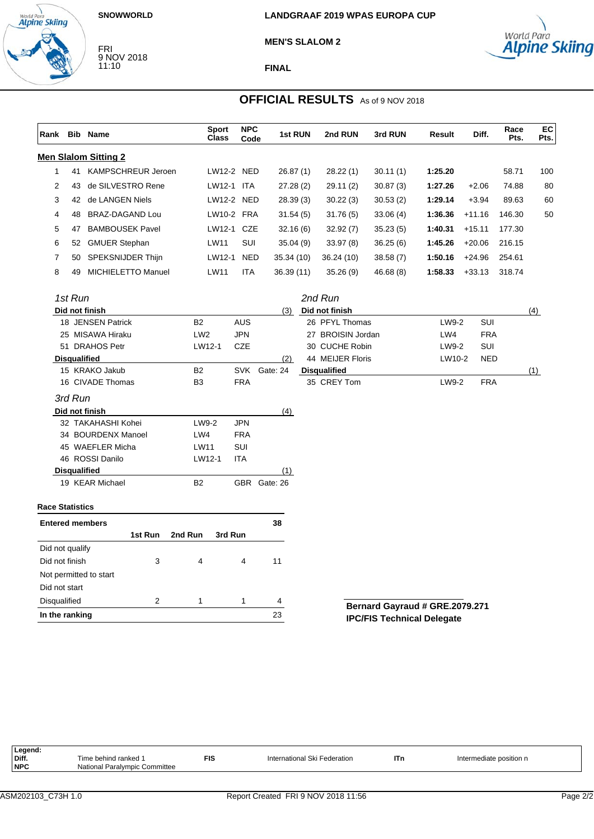### **SNOWWORLD**

FRI 9 NOV 2018 11:10

World Para<br>**Alpine Skiing** 







**FINAL**

# **OFFICIAL RESULTS** As of 9 NOV 2018

|                        |                     | Rank Bib Name               | <b>Sport</b><br><b>Class</b> | <b>NPC</b><br>Code | 1st RUN      | 2nd RUN             | 3rd RUN   | Result  | Diff.      | Race<br>Pts. | EC<br>Pts. |
|------------------------|---------------------|-----------------------------|------------------------------|--------------------|--------------|---------------------|-----------|---------|------------|--------------|------------|
|                        |                     | <b>Men Slalom Sitting 2</b> |                              |                    |              |                     |           |         |            |              |            |
| $\mathbf{1}$           |                     | 41 KAMPSCHREUR Jeroen       | LW12-2 NED                   |                    | 26.87(1)     | 28.22(1)            | 30.11(1)  | 1:25.20 |            | 58.71        | 100        |
| 2                      | 43                  | de SILVESTRO Rene           | LW12-1 ITA                   |                    | 27.28(2)     | 29.11(2)            | 30.87(3)  | 1:27.26 | $+2.06$    | 74.88        | 80         |
| 3                      | 42                  | de LANGEN Niels             | LW12-2 NED                   |                    | 28.39(3)     | 30.22(3)            | 30.53(2)  | 1:29.14 | $+3.94$    | 89.63        | 60         |
| 4                      | 48                  | <b>BRAZ-DAGAND Lou</b>      | LW10-2 FRA                   |                    | 31.54(5)     | 31.76(5)            | 33.06(4)  | 1:36.36 | $+11.16$   | 146.30       | 50         |
| 5                      | 47                  | <b>BAMBOUSEK Pavel</b>      | LW12-1 CZE                   |                    | 32.16(6)     | 32.92(7)            | 35.23(5)  | 1:40.31 | $+15.11$   | 177.30       |            |
| 6                      | 52                  | <b>GMUER Stephan</b>        | <b>LW11</b>                  | SUI                | 35.04(9)     | 33.97(8)            | 36.25(6)  | 1:45.26 | $+20.06$   | 216.15       |            |
| 7                      | 50                  | SPEKSNIJDER Thijn           | LW12-1                       | <b>NED</b>         | 35.34 (10)   | 36.24 (10)          | 38.58 (7) | 1:50.16 | $+24.96$   | 254.61       |            |
| 8                      | 49                  | <b>MICHIELETTO Manuel</b>   | LW11                         | <b>ITA</b>         | 36.39(11)    | 35.26(9)            | 46.68 (8) | 1:58.33 | $+33.13$   | 318.74       |            |
|                        | 1st Run             |                             |                              |                    |              | 2nd Run             |           |         |            |              |            |
|                        |                     | Did not finish              |                              |                    | (3)          | Did not finish      |           |         |            |              | (4)        |
|                        |                     | 18 JENSEN Patrick           | <b>B2</b>                    | <b>AUS</b>         |              | 26 PFYL Thomas      |           | LW9-2   | SUI        |              |            |
|                        |                     | 25 MISAWA Hiraku            | LW <sub>2</sub>              | <b>JPN</b>         |              | 27 BROISIN Jordan   |           | LW4     | <b>FRA</b> |              |            |
|                        |                     | 51 DRAHOS Petr              | LW12-1                       | <b>CZE</b>         |              | 30 CUCHE Robin      |           | LW9-2   | SUI        |              |            |
|                        | <b>Disqualified</b> |                             |                              |                    | (2)          | 44 MEIJER Floris    |           | LW10-2  | <b>NED</b> |              |            |
|                        |                     | 15 KRAKO Jakub              | <b>B2</b>                    | <b>SVK</b>         | Gate: 24     | <b>Disqualified</b> |           |         |            |              | (1)        |
|                        |                     | 16 CIVADE Thomas            | B <sub>3</sub>               | FRA                |              | 35 CREY Tom         |           | LW9-2   | <b>FRA</b> |              |            |
|                        | 3rd Run             |                             |                              |                    |              |                     |           |         |            |              |            |
|                        |                     | Did not finish              |                              |                    | (4)          |                     |           |         |            |              |            |
|                        |                     | 32 TAKAHASHI Kohei          | LW9-2                        | <b>JPN</b>         |              |                     |           |         |            |              |            |
|                        |                     | 34 BOURDENX Manoel          | LW4                          | <b>FRA</b>         |              |                     |           |         |            |              |            |
|                        |                     | 45 WAEFLER Micha            | LW11                         | SUI                |              |                     |           |         |            |              |            |
|                        |                     | 46 ROSSI Danilo             | LW12-1                       | ITA                |              |                     |           |         |            |              |            |
|                        | <b>Disqualified</b> |                             |                              |                    | (1)          |                     |           |         |            |              |            |
|                        |                     | 19 KEAR Michael             | <b>B2</b>                    |                    | GBR Gate: 26 |                     |           |         |            |              |            |
| <b>Race Statistics</b> |                     |                             |                              |                    |              |                     |           |         |            |              |            |
|                        |                     | <b>Entered members</b>      |                              |                    | 38           |                     |           |         |            |              |            |
|                        |                     | 1st Run                     | 2nd Run<br>3rd Run           |                    |              |                     |           |         |            |              |            |
| Did not qualify        |                     |                             |                              |                    |              |                     |           |         |            |              |            |
| Did not finish         |                     | 3                           | 4                            | 4                  | 11           |                     |           |         |            |              |            |

**Bernard Gayraud # GRE.2079.271 IPC/FIS Technical Delegate**

| Legend:    |                               |            |                              |     |                         |
|------------|-------------------------------|------------|------------------------------|-----|-------------------------|
| Diff.      | Fime behind ranked 1          | <b>FIS</b> | International Ski Federation | ITn | Intermediate position n |
| <b>NPC</b> | National Paralympic Committee |            |                              |     |                         |
|            |                               |            |                              |     |                         |

Not permitted to start

Disqualified 2 1 1 4 **In the ranking** 23

Did not start